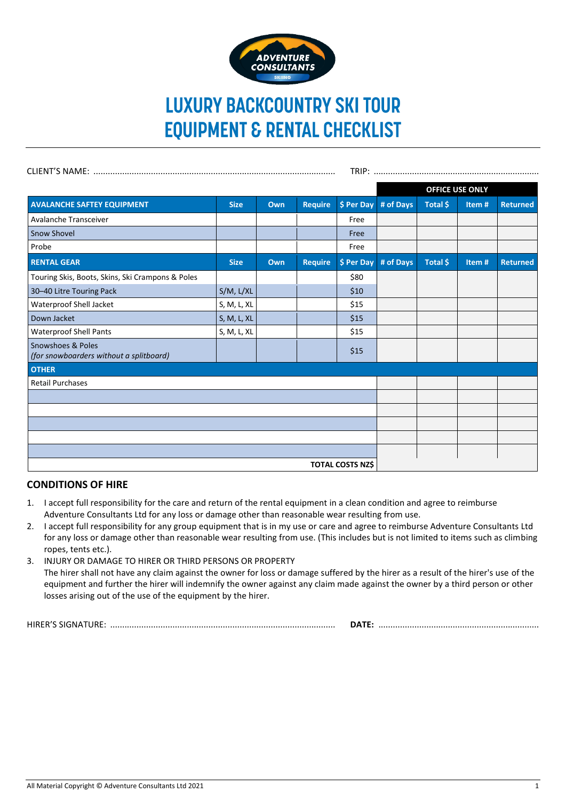

# **LUXURY BACKCOUNTRY SKI TOUR EQUIPMENT & RENTAL CHECKLIST**

|                                                              |                |     |                |            | <b>OFFICE USE ONLY</b> |          |       |                 |
|--------------------------------------------------------------|----------------|-----|----------------|------------|------------------------|----------|-------|-----------------|
| <b>AVALANCHE SAFTEY EQUIPMENT</b>                            | <b>Size</b>    | Own | <b>Require</b> | \$ Per Day | # of Days              | Total \$ | Item# | <b>Returned</b> |
| Avalanche Transceiver                                        |                |     |                | Free       |                        |          |       |                 |
| <b>Snow Shovel</b>                                           |                |     |                | Free       |                        |          |       |                 |
| Probe                                                        |                |     |                | Free       |                        |          |       |                 |
| <b>RENTAL GEAR</b>                                           | <b>Size</b>    | Own | <b>Require</b> | \$ Per Day | # of Days              | Total \$ | Item# | <b>Returned</b> |
| Touring Skis, Boots, Skins, Ski Crampons & Poles             |                |     |                | \$80       |                        |          |       |                 |
| 30-40 Litre Touring Pack                                     | $S/M$ , $L/XL$ |     |                | \$10       |                        |          |       |                 |
| Waterproof Shell Jacket                                      | S, M, L, XL    |     |                | \$15       |                        |          |       |                 |
| Down Jacket                                                  | S, M, L, XL    |     |                | \$15       |                        |          |       |                 |
| <b>Waterproof Shell Pants</b>                                | S, M, L, XL    |     |                | \$15       |                        |          |       |                 |
| Snowshoes & Poles<br>(for snowboarders without a splitboard) |                |     |                | \$15       |                        |          |       |                 |
| <b>OTHER</b>                                                 |                |     |                |            |                        |          |       |                 |
| <b>Retail Purchases</b>                                      |                |     |                |            |                        |          |       |                 |
|                                                              |                |     |                |            |                        |          |       |                 |
|                                                              |                |     |                |            |                        |          |       |                 |
|                                                              |                |     |                |            |                        |          |       |                 |
|                                                              |                |     |                |            |                        |          |       |                 |
|                                                              |                |     |                |            |                        |          |       |                 |
| <b>TOTAL COSTS NZ\$</b>                                      |                |     |                |            |                        |          |       |                 |

## **CONDITIONS OF HIRE**

- 1. I accept full responsibility for the care and return of the rental equipment in a clean condition and agree to reimburse Adventure Consultants Ltd for any loss or damage other than reasonable wear resulting from use.
- 2. I accept full responsibility for any group equipment that is in my use or care and agree to reimburse Adventure Consultants Ltd for any loss or damage other than reasonable wear resulting from use. (This includes but is not limited to items such as climbing ropes, tents etc.).
- 3. INJURY OR DAMAGE TO HIRER OR THIRD PERSONS OR PROPERTY The hirer shall not have any claim against the owner for loss or damage suffered by the hirer as a result of the hirer's use of the equipment and further the hirer will indemnify the owner against any claim made against the owner by a third person or other losses arising out of the use of the equipment by the hirer.

HIRER'S SIGNATURE: .............................................................................................. **DATE:** ...................................................................